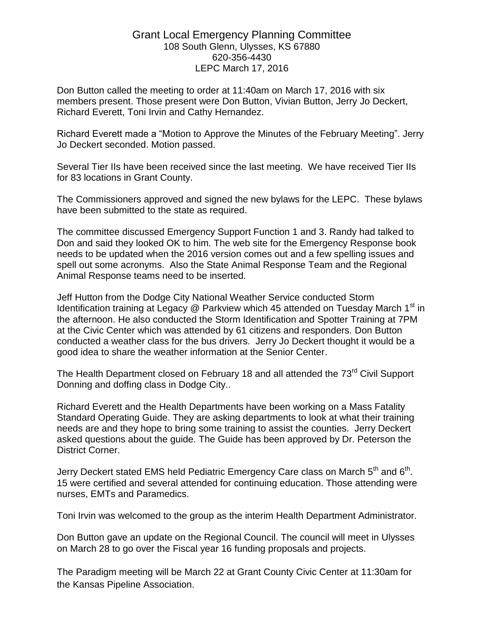## Grant Local Emergency Planning Committee 108 South Glenn, Ulysses, KS 67880 620-356-4430 LEPC March 17, 2016

Don Button called the meeting to order at 11:40am on March 17, 2016 with six members present. Those present were Don Button, Vivian Button, Jerry Jo Deckert, Richard Everett, Toni Irvin and Cathy Hernandez.

Richard Everett made a "Motion to Approve the Minutes of the February Meeting". Jerry Jo Deckert seconded. Motion passed.

Several Tier IIs have been received since the last meeting. We have received Tier IIs for 83 locations in Grant County.

The Commissioners approved and signed the new bylaws for the LEPC. These bylaws have been submitted to the state as required.

The committee discussed Emergency Support Function 1 and 3. Randy had talked to Don and said they looked OK to him. The web site for the Emergency Response book needs to be updated when the 2016 version comes out and a few spelling issues and spell out some acronyms. Also the State Animal Response Team and the Regional Animal Response teams need to be inserted.

Jeff Hutton from the Dodge City National Weather Service conducted Storm Identification training at Legacy  $@$  Parkview which 45 attended on Tuesday March 1<sup>st</sup> in the afternoon. He also conducted the Storm Identification and Spotter Training at 7PM at the Civic Center which was attended by 61 citizens and responders. Don Button conducted a weather class for the bus drivers. Jerry Jo Deckert thought it would be a good idea to share the weather information at the Senior Center.

The Health Department closed on February 18 and all attended the 73<sup>rd</sup> Civil Support Donning and doffing class in Dodge City..

Richard Everett and the Health Departments have been working on a Mass Fatality Standard Operating Guide. They are asking departments to look at what their training needs are and they hope to bring some training to assist the counties. Jerry Deckert asked questions about the guide. The Guide has been approved by Dr. Peterson the District Corner.

Jerry Deckert stated EMS held Pediatric Emergency Care class on March  $5^{\text{th}}$  and  $6^{\text{th}}$ . 15 were certified and several attended for continuing education. Those attending were nurses, EMTs and Paramedics.

Toni Irvin was welcomed to the group as the interim Health Department Administrator.

Don Button gave an update on the Regional Council. The council will meet in Ulysses on March 28 to go over the Fiscal year 16 funding proposals and projects.

The Paradigm meeting will be March 22 at Grant County Civic Center at 11:30am for the Kansas Pipeline Association.